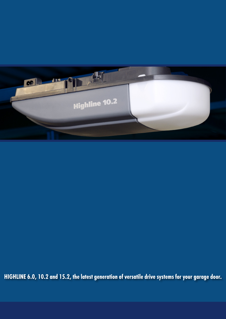

HIGHLINE 6.0, 10.2 and 15.2, the latest generation of versatile drive systems for your garage door.